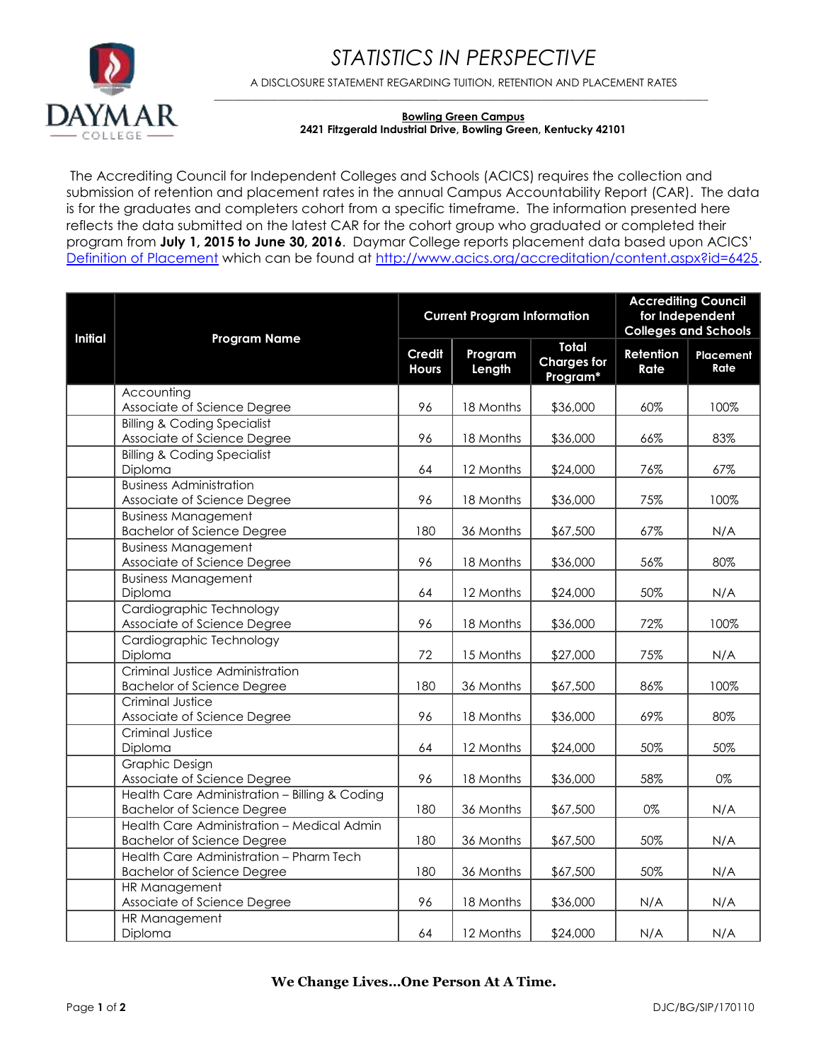



A DISCLOSURE STATEMENT REGARDING TUITION, RETENTION AND PLACEMENT RATES \_\_\_\_\_\_\_\_\_\_\_\_\_\_\_\_\_\_\_\_\_\_\_\_\_\_\_\_\_\_\_\_\_\_\_\_\_\_\_\_\_\_\_\_\_\_\_\_\_\_\_\_\_\_\_\_\_\_\_\_\_\_\_\_\_\_\_\_\_\_\_\_\_\_\_\_\_\_\_\_\_\_\_\_\_\_\_\_\_\_\_\_\_\_\_\_\_\_\_\_\_

## **Bowling Green Campus 2421 Fitzgerald Industrial Drive, Bowling Green, Kentucky 42101**

The Accrediting Council for Independent Colleges and Schools (ACICS) requires the collection and submission of retention and placement rates in the annual Campus Accountability Report (CAR). The data is for the graduates and completers cohort from a specific timeframe. The information presented here reflects the data submitted on the latest CAR for the cohort group who graduated or completed their program from **July 1, 2015 to June 30, 2016**. Daymar College reports placement data based upon ACICS' [Definition of Placement](http://www.acics.org/accreditation/content.aspx?id=6425) which can be found at [http://www.acics.org/accreditation/content.aspx?id=6425.](http://www.acics.org/accreditation/content.aspx?id=6425)

| <b>Initial</b> | <b>Program Name</b>                           | <b>Current Program Information</b> |                   |                                                | <b>Accrediting Council</b><br>for Independent<br><b>Colleges and Schools</b> |                   |
|----------------|-----------------------------------------------|------------------------------------|-------------------|------------------------------------------------|------------------------------------------------------------------------------|-------------------|
|                |                                               | <b>Credit</b><br><b>Hours</b>      | Program<br>Length | <b>Total</b><br><b>Charges for</b><br>Program* | Retention<br>Rate                                                            | Placement<br>Rate |
|                | Accounting                                    |                                    |                   |                                                |                                                                              |                   |
|                | Associate of Science Degree                   | 96                                 | 18 Months         | \$36,000                                       | $60\%$                                                                       | 100%              |
|                | <b>Billing &amp; Coding Specialist</b>        |                                    |                   |                                                |                                                                              |                   |
|                | Associate of Science Degree                   | 96                                 | 18 Months         | \$36,000                                       | 66%                                                                          | 83%               |
|                | <b>Billing &amp; Coding Specialist</b>        |                                    |                   |                                                |                                                                              |                   |
|                | Diploma                                       | 64                                 | 12 Months         | \$24,000                                       | 76%                                                                          | 67%               |
|                | <b>Business Administration</b>                |                                    |                   |                                                |                                                                              |                   |
|                | Associate of Science Degree                   | 96                                 | 18 Months         | \$36,000                                       | 75%                                                                          | 100%              |
|                | <b>Business Management</b>                    |                                    |                   |                                                |                                                                              |                   |
|                | <b>Bachelor of Science Degree</b>             | 180                                | 36 Months         | \$67,500                                       | 67%                                                                          | N/A               |
|                | <b>Business Management</b>                    |                                    |                   |                                                |                                                                              |                   |
|                | Associate of Science Degree                   | 96                                 | 18 Months         | \$36,000                                       | 56%                                                                          | 80%               |
|                | <b>Business Management</b>                    |                                    |                   |                                                |                                                                              |                   |
|                | Diploma                                       | 64                                 | 12 Months         | \$24,000                                       | 50%                                                                          | N/A               |
|                | Cardiographic Technology                      |                                    |                   |                                                |                                                                              |                   |
|                | Associate of Science Degree                   | 96                                 | 18 Months         | \$36,000                                       | 72%                                                                          | 100%              |
|                | Cardiographic Technology                      |                                    |                   |                                                |                                                                              |                   |
|                | Diploma                                       | 72                                 | 15 Months         | \$27,000                                       | 75%                                                                          | N/A               |
|                | Criminal Justice Administration               |                                    |                   |                                                |                                                                              |                   |
|                | <b>Bachelor of Science Degree</b>             | 180                                | 36 Months         | \$67,500                                       | 86%                                                                          | 100%              |
|                | Criminal Justice                              |                                    |                   |                                                |                                                                              |                   |
|                | Associate of Science Degree                   | 96                                 | 18 Months         | \$36,000                                       | 69%                                                                          | 80%               |
|                | Criminal Justice                              |                                    |                   |                                                |                                                                              |                   |
|                | Diploma                                       | 64                                 | 12 Months         | \$24,000                                       | 50%                                                                          | 50%               |
|                | <b>Graphic Design</b>                         |                                    |                   |                                                |                                                                              |                   |
|                | Associate of Science Degree                   | 96                                 | 18 Months         | \$36,000                                       | 58%                                                                          | 0%                |
|                | Health Care Administration - Billing & Coding |                                    |                   |                                                |                                                                              |                   |
|                | <b>Bachelor of Science Degree</b>             | 180                                | 36 Months         | \$67,500                                       | 0%                                                                           | N/A               |
|                | Health Care Administration - Medical Admin    |                                    |                   |                                                |                                                                              |                   |
|                | <b>Bachelor of Science Degree</b>             | 180                                | 36 Months         | \$67,500                                       | 50%                                                                          | N/A               |
|                | Health Care Administration - Pharm Tech       |                                    |                   |                                                |                                                                              |                   |
|                | <b>Bachelor of Science Degree</b>             | 180                                | 36 Months         | \$67,500                                       | 50%                                                                          | N/A               |
|                | HR Management                                 |                                    |                   |                                                |                                                                              |                   |
|                | Associate of Science Degree                   | 96                                 | 18 Months         | \$36,000                                       | N/A                                                                          | N/A               |
|                | HR Management                                 |                                    |                   |                                                |                                                                              |                   |
|                | Diploma                                       | 64                                 | 12 Months         | \$24,000                                       | N/A                                                                          | N/A               |